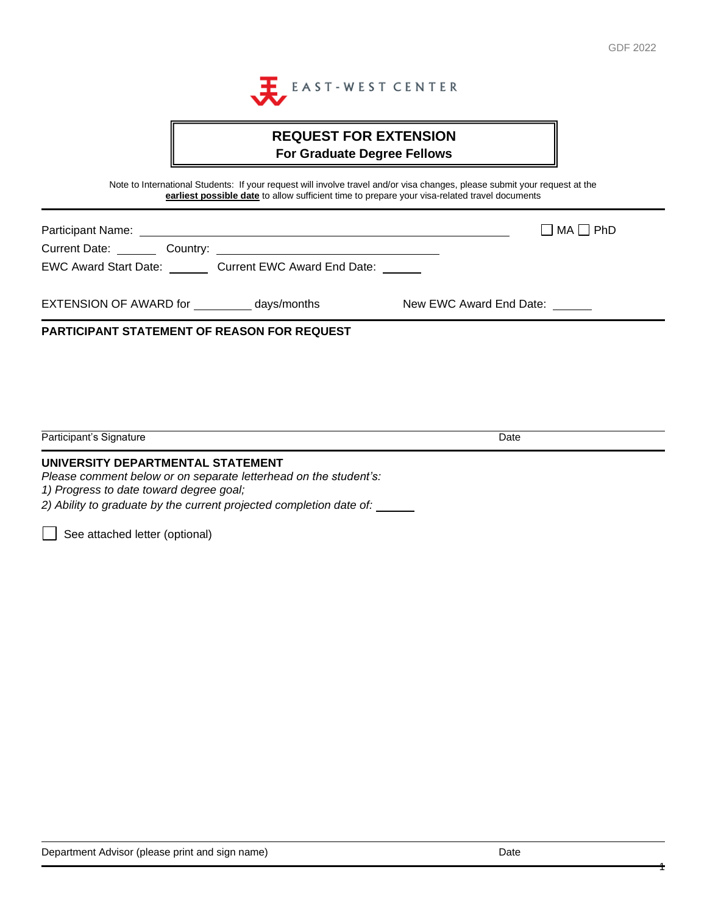

# **REQUEST FOR EXTENSION For Graduate Degree Fellows**

Note to International Students: If your request will involve travel and/or visa changes, please submit your request at the **earliest possible date** to allow sufficient time to prepare your visa-related travel documents

| Participant Name:                                  |                         | $\Box$ MA $\Box$ PhD |
|----------------------------------------------------|-------------------------|----------------------|
| Current Date: Country:                             |                         |                      |
| EWC Award Start Date: Current EWC Award End Date:  |                         |                      |
| EXTENSION OF AWARD for days/months                 | New EWC Award End Date: |                      |
| <b>PARTICIPANT STATEMENT OF REASON FOR REQUEST</b> |                         |                      |
|                                                    |                         |                      |
|                                                    |                         |                      |
|                                                    |                         |                      |
| Participant's Signature                            | Date                    |                      |

#### **UNIVERSITY DEPARTMENTAL STATEMENT**

*Please comment below or on separate letterhead on the student's:* 

*1) Progress to date toward degree goal;*

*2) Ability to graduate by the current projected completion date of:*

See attached letter (optional)

1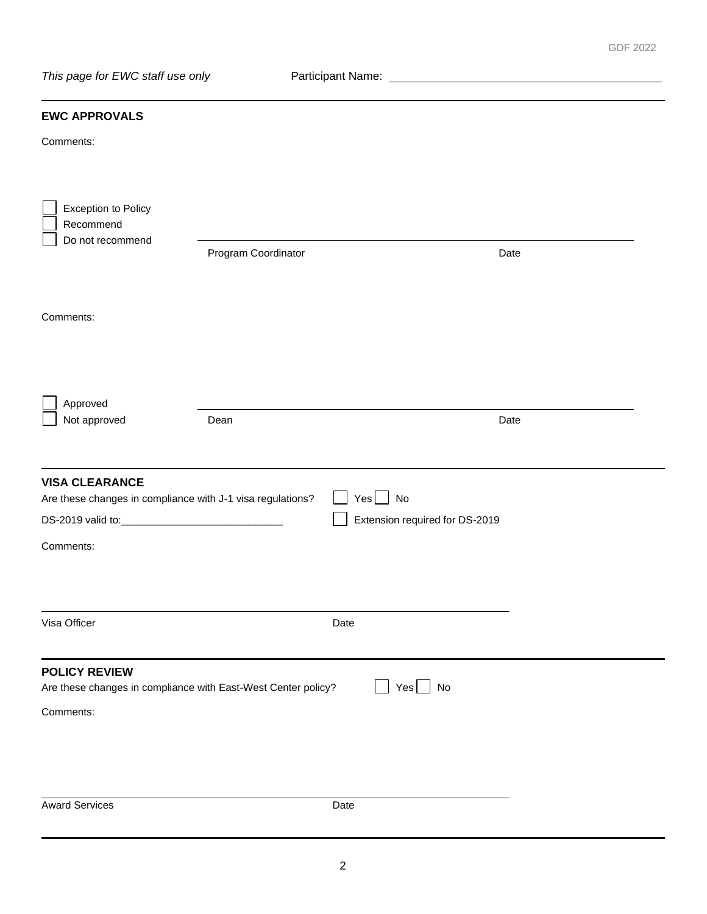## **EWC APPROVALS**

Comments:

| <b>Exception to Policy</b><br>Recommend<br>Do not recommend                                        | Program Coordinator |                                                      | Date |
|----------------------------------------------------------------------------------------------------|---------------------|------------------------------------------------------|------|
| Comments:                                                                                          |                     |                                                      |      |
| Approved<br>Not approved                                                                           | Dean                |                                                      | Date |
| <b>VISA CLEARANCE</b><br>Are these changes in compliance with J-1 visa regulations?<br>Comments:   |                     | $Yes \bigsqcup No$<br>Extension required for DS-2019 |      |
| Visa Officer                                                                                       |                     | Date                                                 |      |
| <b>POLICY REVIEW</b><br>Are these changes in compliance with East-West Center policy?<br>Comments: |                     | <b>No</b><br>Yes                                     |      |
| <b>Award Services</b>                                                                              |                     | Date                                                 |      |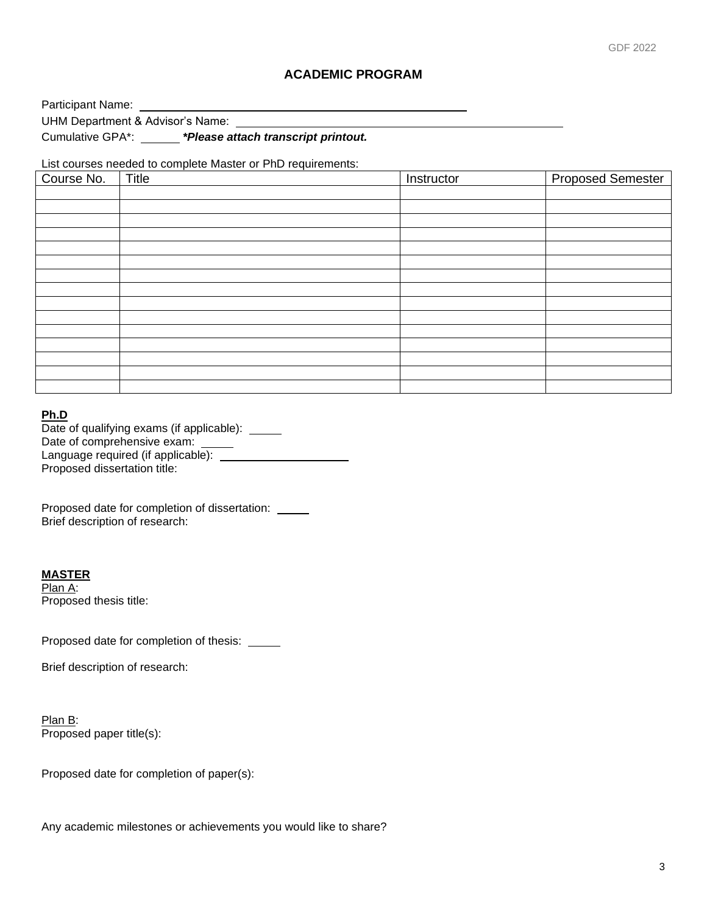#### **ACADEMIC PROGRAM**

Participant Name:

UHM Department & Advisor's Name:

Cumulative GPA\*: *\*Please attach transcript printout.*

List courses needed to complete Master or PhD requirements:

| Course No. | Title | Instructor | <b>Proposed Semester</b> |
|------------|-------|------------|--------------------------|
|            |       |            |                          |
|            |       |            |                          |
|            |       |            |                          |
|            |       |            |                          |
|            |       |            |                          |
|            |       |            |                          |
|            |       |            |                          |
|            |       |            |                          |
|            |       |            |                          |
|            |       |            |                          |
|            |       |            |                          |
|            |       |            |                          |
|            |       |            |                          |
|            |       |            |                          |
|            |       |            |                          |

#### **Ph.D**

| Date of qualifying exams (if applicable): |
|-------------------------------------------|
| Date of comprehensive exam:               |
| Language required (if applicable):        |
| Proposed dissertation title:              |

Proposed date for completion of dissertation: Brief description of research:

**MASTER**

Plan A: Proposed thesis title:

Proposed date for completion of thesis: \_\_\_\_\_

Brief description of research:

Plan B: Proposed paper title(s):

Proposed date for completion of paper(s):

Any academic milestones or achievements you would like to share?